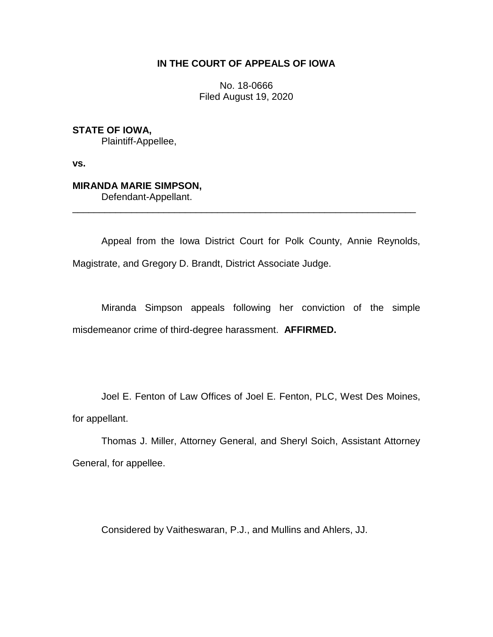# **IN THE COURT OF APPEALS OF IOWA**

No. 18-0666 Filed August 19, 2020

**STATE OF IOWA,**

Plaintiff-Appellee,

**vs.**

# **MIRANDA MARIE SIMPSON,**

Defendant-Appellant.

Appeal from the Iowa District Court for Polk County, Annie Reynolds, Magistrate, and Gregory D. Brandt, District Associate Judge.

\_\_\_\_\_\_\_\_\_\_\_\_\_\_\_\_\_\_\_\_\_\_\_\_\_\_\_\_\_\_\_\_\_\_\_\_\_\_\_\_\_\_\_\_\_\_\_\_\_\_\_\_\_\_\_\_\_\_\_\_\_\_\_\_

Miranda Simpson appeals following her conviction of the simple misdemeanor crime of third-degree harassment. **AFFIRMED.**

Joel E. Fenton of Law Offices of Joel E. Fenton, PLC, West Des Moines, for appellant.

Thomas J. Miller, Attorney General, and Sheryl Soich, Assistant Attorney General, for appellee.

Considered by Vaitheswaran, P.J., and Mullins and Ahlers, JJ.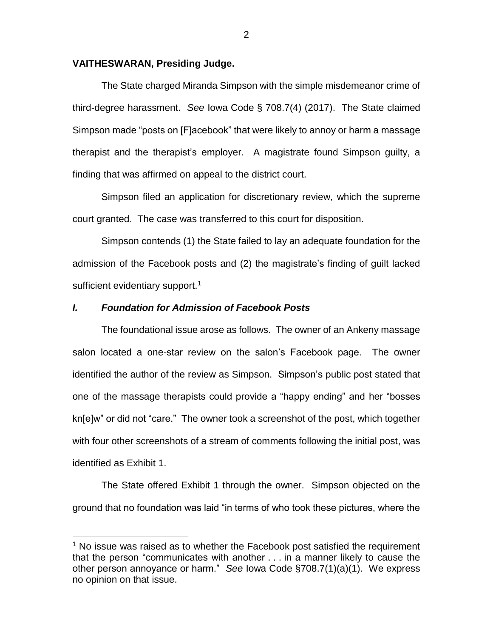#### **VAITHESWARAN, Presiding Judge.**

The State charged Miranda Simpson with the simple misdemeanor crime of third-degree harassment. *See* Iowa Code § 708.7(4) (2017). The State claimed Simpson made "posts on [F]acebook" that were likely to annoy or harm a massage therapist and the therapist's employer. A magistrate found Simpson guilty, a finding that was affirmed on appeal to the district court.

Simpson filed an application for discretionary review, which the supreme court granted. The case was transferred to this court for disposition.

Simpson contends (1) the State failed to lay an adequate foundation for the admission of the Facebook posts and (2) the magistrate's finding of guilt lacked sufficient evidentiary support.<sup>1</sup>

### *I. Foundation for Admission of Facebook Posts*

 $\overline{a}$ 

The foundational issue arose as follows. The owner of an Ankeny massage salon located a one-star review on the salon's Facebook page. The owner identified the author of the review as Simpson. Simpson's public post stated that one of the massage therapists could provide a "happy ending" and her "bosses kn[e]w" or did not "care." The owner took a screenshot of the post, which together with four other screenshots of a stream of comments following the initial post, was identified as Exhibit 1.

The State offered Exhibit 1 through the owner. Simpson objected on the ground that no foundation was laid "in terms of who took these pictures, where the

 $1$  No issue was raised as to whether the Facebook post satisfied the requirement that the person "communicates with another . . . in a manner likely to cause the other person annoyance or harm." *See* Iowa Code §708.7(1)(a)(1). We express no opinion on that issue.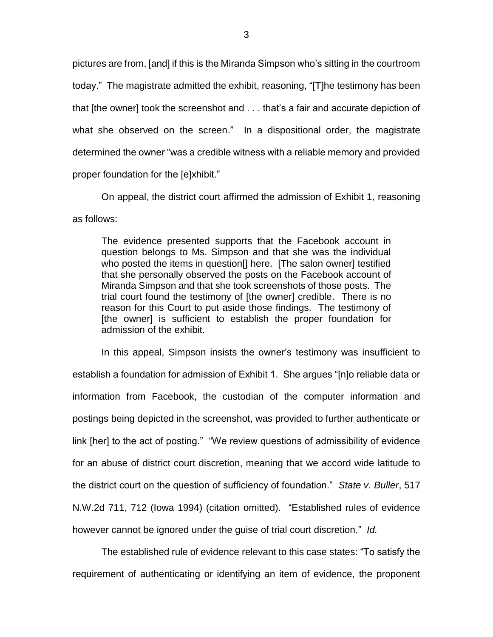pictures are from, [and] if this is the Miranda Simpson who's sitting in the courtroom today." The magistrate admitted the exhibit, reasoning, "[T]he testimony has been that [the owner] took the screenshot and . . . that's a fair and accurate depiction of what she observed on the screen." In a dispositional order, the magistrate determined the owner "was a credible witness with a reliable memory and provided proper foundation for the [e]xhibit."

On appeal, the district court affirmed the admission of Exhibit 1, reasoning as follows:

The evidence presented supports that the Facebook account in question belongs to Ms. Simpson and that she was the individual who posted the items in question[] here. [The salon owner] testified that she personally observed the posts on the Facebook account of Miranda Simpson and that she took screenshots of those posts. The trial court found the testimony of [the owner] credible. There is no reason for this Court to put aside those findings. The testimony of [the owner] is sufficient to establish the proper foundation for admission of the exhibit.

In this appeal, Simpson insists the owner's testimony was insufficient to establish a foundation for admission of Exhibit 1. She argues "[n]o reliable data or information from Facebook, the custodian of the computer information and postings being depicted in the screenshot, was provided to further authenticate or link [her] to the act of posting." "We review questions of admissibility of evidence for an abuse of district court discretion, meaning that we accord wide latitude to the district court on the question of sufficiency of foundation." *State v. Buller*, 517 N.W.2d 711, 712 (Iowa 1994) (citation omitted). "Established rules of evidence however cannot be ignored under the guise of trial court discretion." *Id.*

The established rule of evidence relevant to this case states: "To satisfy the requirement of authenticating or identifying an item of evidence, the proponent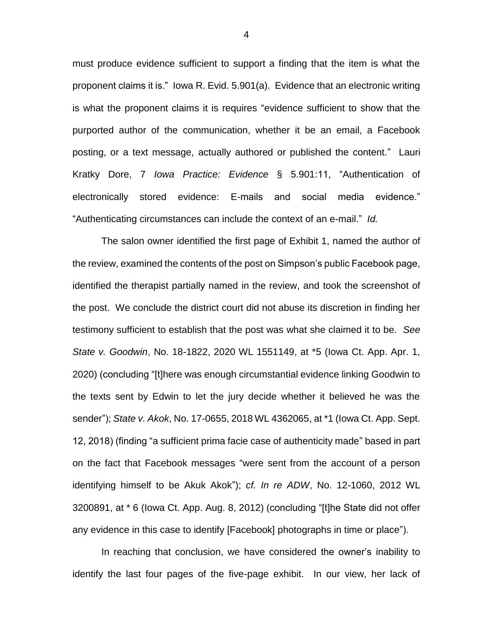must produce evidence sufficient to support a finding that the item is what the proponent claims it is." Iowa R. Evid. 5.901(a). Evidence that an electronic writing is what the proponent claims it is requires "evidence sufficient to show that the purported author of the communication, whether it be an email, a Facebook posting, or a text message, actually authored or published the content." Lauri Kratky Dore, 7 *Iowa Practice: Evidence* § 5.901:11, "Authentication of electronically stored evidence: E-mails and social media evidence." "Authenticating circumstances can include the context of an e-mail." *Id.*

The salon owner identified the first page of Exhibit 1, named the author of the review, examined the contents of the post on Simpson's public Facebook page, identified the therapist partially named in the review, and took the screenshot of the post. We conclude the district court did not abuse its discretion in finding her testimony sufficient to establish that the post was what she claimed it to be. *See State v. Goodwin*, No. 18-1822, 2020 WL 1551149, at \*5 (Iowa Ct. App. Apr. 1, 2020) (concluding "[t]here was enough circumstantial evidence linking Goodwin to the texts sent by Edwin to let the jury decide whether it believed he was the sender"); *State v. Akok*, No. 17-0655, 2018 WL 4362065, at \*1 (Iowa Ct. App. Sept. 12, 2018) (finding "a sufficient prima facie case of authenticity made" based in part on the fact that Facebook messages "were sent from the account of a person identifying himself to be Akuk Akok"); *cf. In re ADW*, No. 12-1060, 2012 WL 3200891, at \* 6 (Iowa Ct. App. Aug. 8, 2012) (concluding "[t]he State did not offer any evidence in this case to identify [Facebook] photographs in time or place").

In reaching that conclusion, we have considered the owner's inability to identify the last four pages of the five-page exhibit. In our view, her lack of

4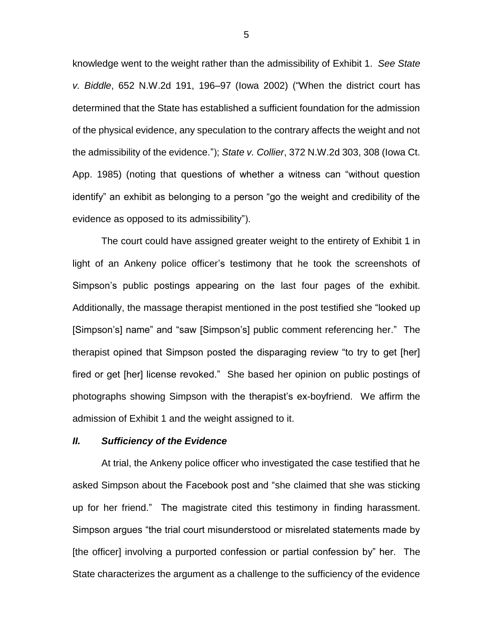knowledge went to the weight rather than the admissibility of Exhibit 1. *See State v. Biddle*, 652 N.W.2d 191, 196–97 (Iowa 2002) ("When the district court has determined that the State has established a sufficient foundation for the admission of the physical evidence, any speculation to the contrary affects the weight and not the admissibility of the evidence."); *State v. Collier*, 372 N.W.2d 303, 308 (Iowa Ct. App. 1985) (noting that questions of whether a witness can "without question identify" an exhibit as belonging to a person "go the weight and credibility of the evidence as opposed to its admissibility").

The court could have assigned greater weight to the entirety of Exhibit 1 in light of an Ankeny police officer's testimony that he took the screenshots of Simpson's public postings appearing on the last four pages of the exhibit. Additionally, the massage therapist mentioned in the post testified she "looked up [Simpson's] name" and "saw [Simpson's] public comment referencing her." The therapist opined that Simpson posted the disparaging review "to try to get [her] fired or get [her] license revoked." She based her opinion on public postings of photographs showing Simpson with the therapist's ex-boyfriend. We affirm the admission of Exhibit 1 and the weight assigned to it.

#### *II. Sufficiency of the Evidence*

At trial, the Ankeny police officer who investigated the case testified that he asked Simpson about the Facebook post and "she claimed that she was sticking up for her friend." The magistrate cited this testimony in finding harassment. Simpson argues "the trial court misunderstood or misrelated statements made by [the officer] involving a purported confession or partial confession by" her. The State characterizes the argument as a challenge to the sufficiency of the evidence